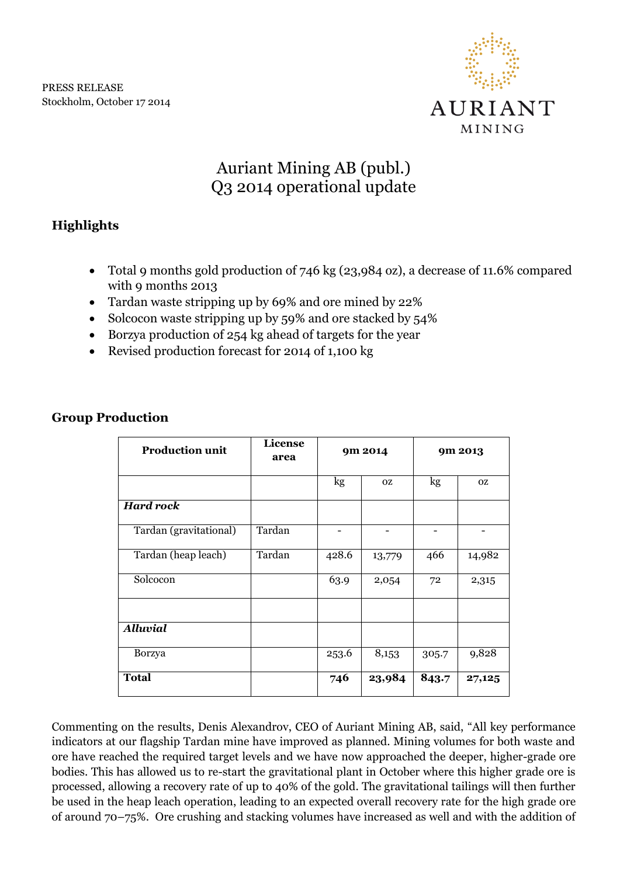

# Auriant Mining AB (publ.) Q3 2014 operational update

## **Highlights**

- Total 9 months gold production of 746 kg (23,984 oz), a decrease of 11.6% compared with 9 months 2013
- Tardan waste stripping up by 69% and ore mined by 22%
- Solcocon waste stripping up by 59% and ore stacked by 54%
- Borzya production of 254 kg ahead of targets for the year
- Revised production forecast for 2014 of 1,100 kg

| <b>Production unit</b> | License<br>area | 9m 2014 |           | 9m 2013       |                |
|------------------------|-----------------|---------|-----------|---------------|----------------|
|                        |                 | kg      | <b>OZ</b> | $\mathbf{kg}$ | <sub>O</sub> Z |
| <b>Hard rock</b>       |                 |         |           |               |                |
| Tardan (gravitational) | Tardan          |         |           |               |                |
| Tardan (heap leach)    | Tardan          | 428.6   | 13,779    | 466           | 14,982         |
| Solcocon               |                 | 63.9    | 2,054     | 72            | 2,315          |
|                        |                 |         |           |               |                |
| <b>Alluvial</b>        |                 |         |           |               |                |
| <b>Borzya</b>          |                 | 253.6   | 8,153     | 305.7         | 9,828          |
| <b>Total</b>           |                 | 746     | 23,984    | 843.7         | 27,125         |

## **Group Production**

Commenting on the results, Denis Alexandrov, CEO of Auriant Mining AB, said, "All key performance indicators at our flagship Tardan mine have improved as planned. Mining volumes for both waste and ore have reached the required target levels and we have now approached the deeper, higher-grade ore bodies. This has allowed us to re-start the gravitational plant in October where this higher grade ore is processed, allowing a recovery rate of up to 40% of the gold. The gravitational tailings will then further be used in the heap leach operation, leading to an expected overall recovery rate for the high grade ore of around 70–75%. Ore crushing and stacking volumes have increased as well and with the addition of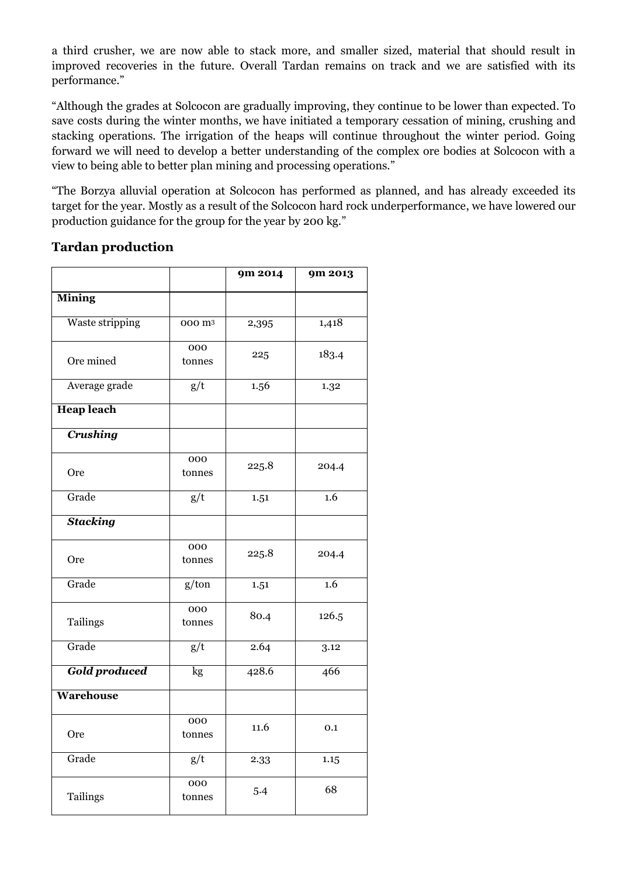a third crusher, we are now able to stack more, and smaller sized, material that should result in improved recoveries in the future. Overall Tardan remains on track and we are satisfied with its performance."

"Although the grades at Solcocon are gradually improving, they continue to be lower than expected. To save costs during the winter months, we have initiated a temporary cessation of mining, crushing and stacking operations. The irrigation of the heaps will continue throughout the winter period. Going forward we will need to develop a better understanding of the complex ore bodies at Solcocon with a view to being able to better plan mining and processing operations."

"The Borzya alluvial operation at Solcocon has performed as planned, and has already exceeded its target for the year. Mostly as a result of the Solcocon hard rock underperformance, we have lowered our production guidance for the group for the year by 200 kg."

|                      |                    | 9m 2014 | 9m 2013 |
|----------------------|--------------------|---------|---------|
| <b>Mining</b>        |                    |         |         |
| Waste stripping      | 000 m <sup>3</sup> | 2,395   | 1,418   |
| Ore mined            | 000<br>tonnes      | 225     | 183.4   |
| Average grade        | g/t                | 1.56    | 1.32    |
| <b>Heap leach</b>    |                    |         |         |
| <b>Crushing</b>      |                    |         |         |
| Ore                  | 000<br>tonnes      | 225.8   | 204.4   |
| Grade                | g/t                | 1.51    | 1.6     |
| <b>Stacking</b>      |                    |         |         |
| Ore                  | 000<br>tonnes      | 225.8   | 204.4   |
| Grade                | g/ton              | 1.51    | 1.6     |
| Tailings             | 000<br>tonnes      | 80.4    | 126.5   |
| Grade                | g/t                | 2.64    | 3.12    |
| <b>Gold produced</b> | kg                 | 428.6   | 466     |
| Warehouse            |                    |         |         |
| Ore                  | 000<br>tonnes      | 11.6    | 0.1     |
| Grade                | g/t                | 2.33    | 1.15    |
| Tailings             | 000<br>tonnes      | 5.4     | 68      |

### **Tardan production**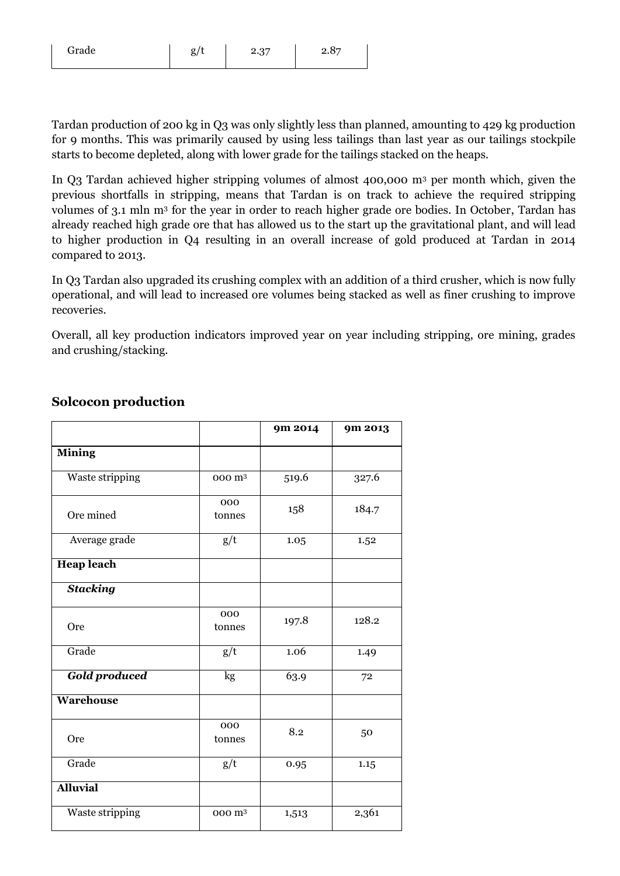| Grade | $\sigma / 1$ | 2.37 | R <sub>7</sub> |
|-------|--------------|------|----------------|
|       |              |      |                |

Tardan production of 200 kg in Q3 was only slightly less than planned, amounting to 429 kg production for 9 months. This was primarily caused by using less tailings than last year as our tailings stockpile starts to become depleted, along with lower grade for the tailings stacked on the heaps.

In Q3 Tardan achieved higher stripping volumes of almost 400,000 m<sup>3</sup> per month which, given the previous shortfalls in stripping, means that Tardan is on track to achieve the required stripping volumes of 3.1 mln m<sup>3</sup> for the year in order to reach higher grade ore bodies. In October, Tardan has already reached high grade ore that has allowed us to the start up the gravitational plant, and will lead to higher production in Q4 resulting in an overall increase of gold produced at Tardan in 2014 compared to 2013.

In Q3 Tardan also upgraded its crushing complex with an addition of a third crusher, which is now fully operational, and will lead to increased ore volumes being stacked as well as finer crushing to improve recoveries.

Overall, all key production indicators improved year on year including stripping, ore mining, grades and crushing/stacking.

|                      |                    | 9m 2014 | 9m 2013 |
|----------------------|--------------------|---------|---------|
| <b>Mining</b>        |                    |         |         |
| Waste stripping      | 000 m <sup>3</sup> | 519.6   | 327.6   |
| Ore mined            | 000<br>tonnes      | 158     | 184.7   |
| Average grade        | g/t                | 1.05    | 1.52    |
| <b>Heap leach</b>    |                    |         |         |
| <b>Stacking</b>      |                    |         |         |
| Ore                  | 000<br>tonnes      | 197.8   | 128.2   |
| Grade                | g/t                | 1.06    | 1.49    |
| <b>Gold produced</b> | kg                 | 63.9    | 72      |
| Warehouse            |                    |         |         |
| <b>Ore</b>           | 000<br>tonnes      | 8.2     | 50      |
| Grade                | g/t                | 0.95    | 1.15    |
| <b>Alluvial</b>      |                    |         |         |
| Waste stripping      | 000 m <sup>3</sup> | 1,513   | 2,361   |

#### **Solcocon production**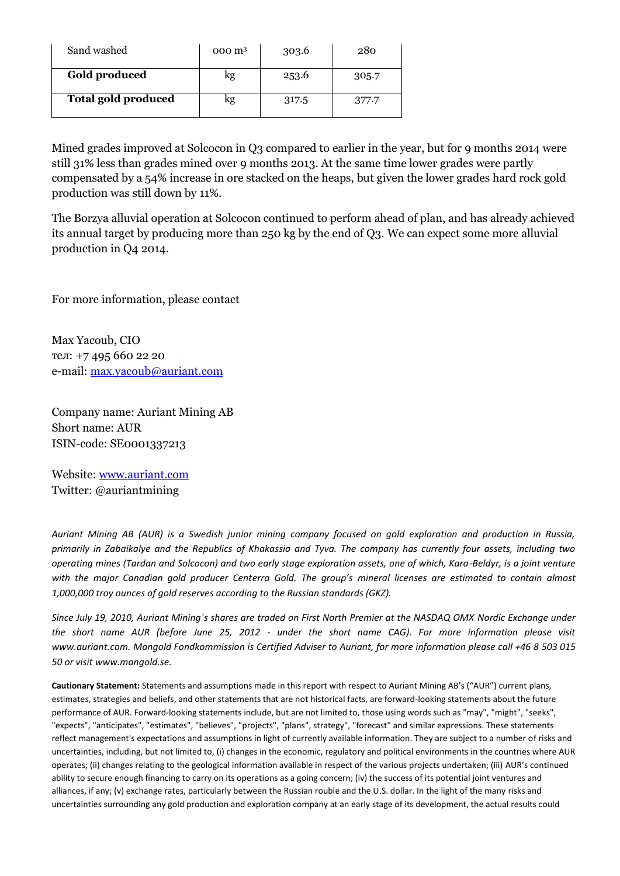| Sand washed                | 000 m <sup>3</sup> | 303.6 | 280   |
|----------------------------|--------------------|-------|-------|
| Gold produced              | kg                 | 253.6 | 305.7 |
| <b>Total gold produced</b> | kg                 | 317.5 | 377.7 |

Mined grades improved at Solcocon in Q3 compared to earlier in the year, but for 9 months 2014 were still 31% less than grades mined over 9 months 2013. At the same time lower grades were partly compensated by a 54% increase in ore stacked on the heaps, but given the lower grades hard rock gold production was still down by 11%.

The Borzya alluvial operation at Solcocon continued to perform ahead of plan, and has already achieved its annual target by producing more than 250 kg by the end of Q3. We can expect some more alluvial production in Q4 2014.

For more information, please contact

Max Yacoub, CIO тел: +7 495 660 22 20 e-mail: [max.yacoub@auriant.com](mailto:max.yacoub@auriant.com)

Company name: Auriant Mining AB Short name: AUR ISIN-code: SE0001337213

Website: [www.auriant.com](http://www.auriant.com/) Twitter: @auriantmining

*Auriant Mining AB (AUR) is a Swedish junior mining company focused on gold exploration and production in Russia, primarily in Zabaikalye and the Republics of Khakassia and Tyva. The company has currently four assets, including two operating mines (Tardan and Solcocon) and two early stage exploration assets, one of which, Kara-Beldyr, is a joint venture with the major Canadian gold producer Centerra Gold. The group's mineral licenses are estimated to contain almost 1,000,000 troy ounces of gold reserves according to the Russian standards (GKZ).* 

*Since July 19, 2010, Auriant Mining´s shares are traded on First North Premier at the NASDAQ OMX Nordic Exchange under the short name AUR (before June 25, 2012 - under the short name CAG). For more information please visit www.auriant.com. Mangold Fondkommission is Certified Adviser to Auriant, for more information please call +46 8 503 015 50 or visit www.mangold.se.*

**Cautionary Statement:** Statements and assumptions made in this report with respect to Auriant Mining AB's ("AUR") current plans, estimates, strategies and beliefs, and other statements that are not historical facts, are forward-looking statements about the future performance of AUR. Forward-looking statements include, but are not limited to, those using words such as "may", "might", "seeks", "expects", "anticipates", "estimates", "believes", "projects", "plans", strategy", "forecast" and similar expressions. These statements reflect management's expectations and assumptions in light of currently available information. They are subject to a number of risks and uncertainties, including, but not limited to, (i) changes in the economic, regulatory and political environments in the countries where AUR operates; (ii) changes relating to the geological information available in respect of the various projects undertaken; (iii) AUR's continued ability to secure enough financing to carry on its operations as a going concern; (iv) the success of its potential joint ventures and alliances, if any; (v) exchange rates, particularly between the Russian rouble and the U.S. dollar. In the light of the many risks and uncertainties surrounding any gold production and exploration company at an early stage of its development, the actual results could